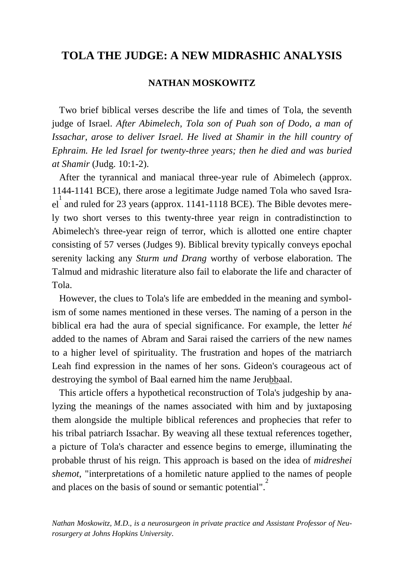## **TOLA THE JUDGE: A NEW MIDRASHIC ANALYSIS**

### **NATHAN MOSKOWITZ**

 Two brief biblical verses describe the life and times of Tola, the seventh judge of Israel. *After Abimelech, Tola son of Puah son of Dodo, a man of Issachar, arose to deliver Israel. He lived at Shamir in the hill country of Ephraim. He led Israel for twenty-three years; then he died and was buried at Shamir* (Judg. 10:1-2).

 After the tyrannical and maniacal three-year rule of Abimelech (approx. 1144-1141 BCE), there arose a legitimate Judge named Tola who saved Israel<sup>1</sup> and ruled for 23 years (approx. 1141-1118 BCE). The Bible devotes merely two short verses to this twenty-three year reign in contradistinction to Abimelech's three-year reign of terror, which is allotted one entire chapter consisting of 57 verses (Judges 9). Biblical brevity typically conveys epochal serenity lacking any *Sturm und Drang* worthy of verbose elaboration. The Talmud and midrashic literature also fail to elaborate the life and character of Tola.

 However, the clues to Tola's life are embedded in the meaning and symbolism of some names mentioned in these verses. The naming of a person in the biblical era had the aura of special significance. For example, the letter *hé*  added to the names of Abram and Sarai raised the carriers of the new names to a higher level of spirituality. The frustration and hopes of the matriarch Leah find expression in the names of her sons. Gideon's courageous act of destroying the symbol of Baal earned him the name Jerubbaal.

 This article offers a hypothetical reconstruction of Tola's judgeship by analyzing the meanings of the names associated with him and by juxtaposing them alongside the multiple biblical references and prophecies that refer to his tribal patriarch Issachar. By weaving all these textual references together, a picture of Tola's character and essence begins to emerge, illuminating the probable thrust of his reign. This approach is based on the idea of *midreshei shemot*, "interpretations of a homiletic nature applied to the names of people and places on the basis of sound or semantic potential".<sup>2</sup>

*Nathan Moskowitz, M.D., is a neurosurgeon in private practice and Assistant Professor of Neurosurgery at Johns Hopkins University*.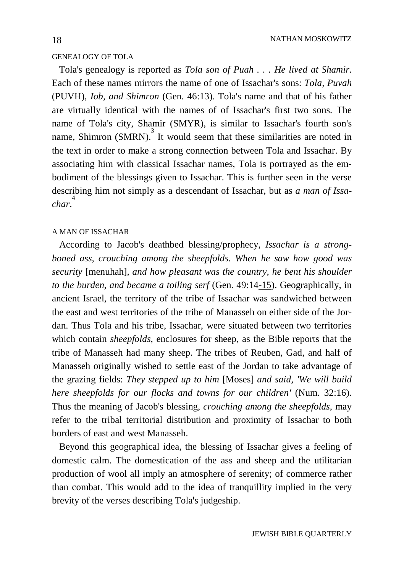#### GENEALOGY OF TOLA

 Tola's genealogy is reported as *Tola son of Puah . . . He lived at Shamir*. Each of these names mirrors the name of one of Issachar's sons: *Tola, Puvah*  (PUVH)*, Iob, and Shimron* (Gen. 46:13). Tola's name and that of his father are virtually identical with the names of of Issachar's first two sons. The name of Tola's city, Shamir (SMYR), is similar to Issachar's fourth son's name, Shimron  $(SMRN)$ .<sup>3</sup> It would seem that these similarities are noted in the text in order to make a strong connection between Tola and Issachar. By associating him with classical Issachar names, Tola is portrayed as the embodiment of the blessings given to Issachar. This is further seen in the verse describing him not simply as a descendant of Issachar, but as *a man of Issachar*. 4

#### A MAN OF ISSACHAR

 According to Jacob's deathbed blessing/prophecy, *Issachar is a strongboned ass, crouching among the sheepfolds. When he saw how good was security* [menuhah]*, and how pleasant was the country, he bent his shoulder to the burden, and became a toiling serf* (Gen. 49:14-15). Geographically, in ancient Israel, the territory of the tribe of Issachar was sandwiched between the east and west territories of the tribe of Manasseh on either side of the Jordan. Thus Tola and his tribe, Issachar, were situated between two territories which contain *sheepfolds*, enclosures for sheep, as the Bible reports that the tribe of Manasseh had many sheep. The tribes of Reuben, Gad, and half of Manasseh originally wished to settle east of the Jordan to take advantage of the grazing fields: *They stepped up to him* [Moses] *and said, ′We will build here sheepfolds for our flocks and towns for our children′* (Num. 32:16). Thus the meaning of Jacob's blessing, *crouching among the sheepfolds*, may refer to the tribal territorial distribution and proximity of Issachar to both borders of east and west Manasseh.

 Beyond this geographical idea, the blessing of Issachar gives a feeling of domestic calm. The domestication of the ass and sheep and the utilitarian production of wool all imply an atmosphere of serenity; of commerce rather than combat. This would add to the idea of tranquillity implied in the very brevity of the verses describing Tola's judgeship.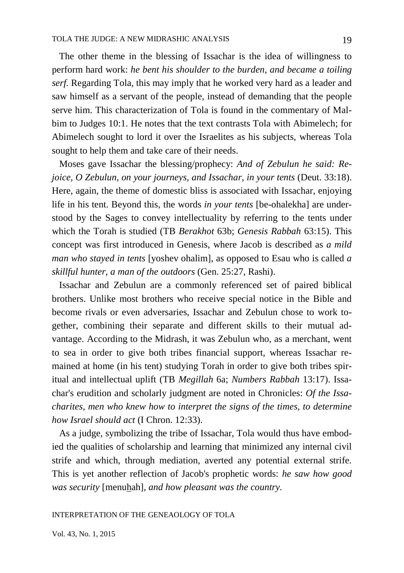The other theme in the blessing of Issachar is the idea of willingness to perform hard work: *he bent his shoulder to the burden, and became a toiling serf.* Regarding Tola, this may imply that he worked very hard as a leader and saw himself as a servant of the people, instead of demanding that the people serve him. This characterization of Tola is found in the commentary of Malbim to Judges 10:1. He notes that the text contrasts Tola with Abimelech; for Abimelech sought to lord it over the Israelites as his subjects, whereas Tola sought to help them and take care of their needs.

 Moses gave Issachar the blessing/prophecy: *And of Zebulun he said: Rejoice, O Zebulun, on your journeys, and Issachar, in your tents* (Deut. 33:18). Here, again, the theme of domestic bliss is associated with Issachar, enjoying life in his tent. Beyond this, the words *in your tents* [be-ohalekha] are understood by the Sages to convey intellectuality by referring to the tents under which the Torah is studied (TB *Berakhot* 63b; *Genesis Rabbah* 63:15). This concept was first introduced in Genesis, where Jacob is described as *a mild man who stayed in tents* [yoshev ohalim], as opposed to Esau who is called *a skillful hunter, a man of the outdoors* (Gen. 25:27, Rashi).

 Issachar and Zebulun are a commonly referenced set of paired biblical brothers. Unlike most brothers who receive special notice in the Bible and become rivals or even adversaries, Issachar and Zebulun chose to work together, combining their separate and different skills to their mutual advantage. According to the Midrash, it was Zebulun who, as a merchant, went to sea in order to give both tribes financial support, whereas Issachar remained at home (in his tent) studying Torah in order to give both tribes spiritual and intellectual uplift (TB *Megillah* 6a; *Numbers Rabbah* 13:17). Issachar's erudition and scholarly judgment are noted in Chronicles: *Of the Issacharites, men who knew how to interpret the signs of the times, to determine how Israel should act* (I Chron. 12:33).

 As a judge, symbolizing the tribe of Issachar, Tola would thus have embodied the qualities of scholarship and learning that minimized any internal civil strife and which, through mediation, averted any potential external strife. This is yet another reflection of Jacob's prophetic words: *he saw how good was security* [menuhah]*, and how pleasant was the country.*

INTERPRETATION OF THE GENEAOLOGY OF TOLA

Vol. 43, No. 1, 2015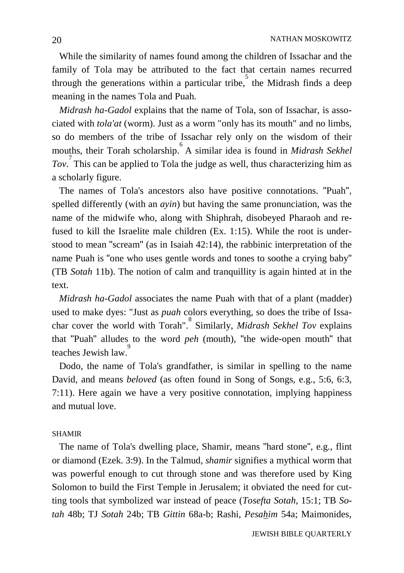While the similarity of names found among the children of Issachar and the family of Tola may be attributed to the fact that certain names recurred through the generations within a particular tribe, the Midrash finds a deep meaning in the names Tola and Puah.

 *Midrash ha-Gadol* explains that the name of Tola, son of Issachar, is associated with *tola'at* (worm). Just as a worm "only has its mouth" and no limbs, so do members of the tribe of Issachar rely only on the wisdom of their mouths, their Torah scholarship. A similar idea is found in *Midrash Sekhel Tov*. 7 This can be applied to Tola the judge as well, thus characterizing him as a scholarly figure.

 The names of Tola's ancestors also have positive connotations. "Puah", spelled differently (with an *ayin*) but having the same pronunciation, was the name of the midwife who, along with Shiphrah, disobeyed Pharaoh and refused to kill the Israelite male children (Ex. 1:15). While the root is understood to mean "scream" (as in Isaiah 42:14), the rabbinic interpretation of the name Puah is "one who uses gentle words and tones to soothe a crying baby" (TB *Sotah* 11b). The notion of calm and tranquillity is again hinted at in the text.

 *Midrash ha-Gadol* associates the name Puah with that of a plant (madder) used to make dyes: "Just as *puah* colors everything, so does the tribe of Issachar cover the world with Torah".<sup>8</sup> Similarly, *Midrash Sekhel Tov* explains that "Puah" alludes to the word *peh* (mouth), "the wide-open mouth" that teaches Jewish law.

 Dodo, the name of Tola's grandfather, is similar in spelling to the name David, and means *beloved* (as often found in Song of Songs, e.g., 5:6, 6:3, 7:11). Here again we have a very positive connotation, implying happiness and mutual love.

#### SHAMIR

 The name of Tola's dwelling place, Shamir, means "hard stone", e.g., flint or diamond (Ezek. 3:9). In the Talmud, *shamir* signifies a mythical worm that was powerful enough to cut through stone and was therefore used by King Solomon to build the First Temple in Jerusalem; it obviated the need for cutting tools that symbolized war instead of peace (*Tosefta Sotah*, 15:1; TB *Sotah* 48b; TJ *Sotah* 24b; TB *Gittin* 68a-b; Rashi, *Pesahim* 54a; Maimonides,